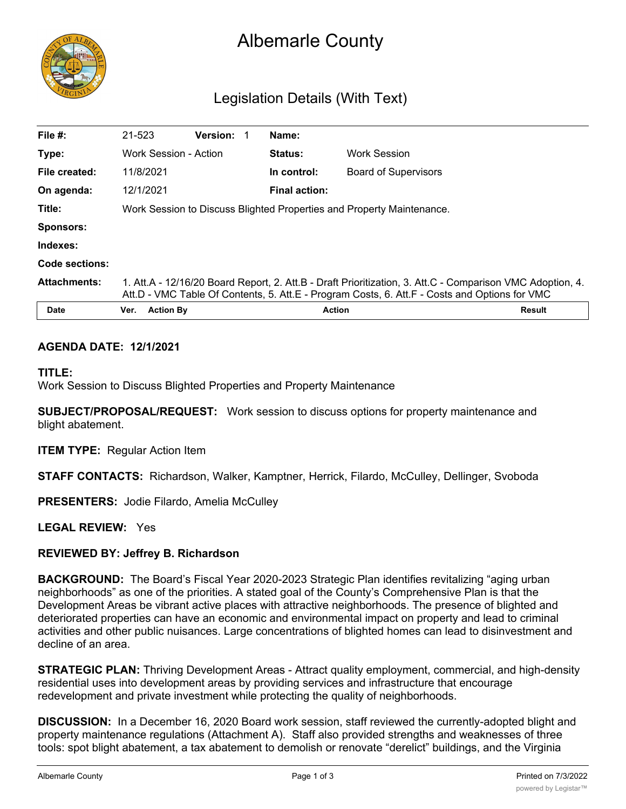

# Albemarle County

# Legislation Details (With Text)

| File $#$ :          | 21-523                                                                                                                                                                                                     | <b>Version:</b> | Name:                |                             |               |
|---------------------|------------------------------------------------------------------------------------------------------------------------------------------------------------------------------------------------------------|-----------------|----------------------|-----------------------------|---------------|
| Type:               | Work Session - Action                                                                                                                                                                                      |                 | <b>Status:</b>       | <b>Work Session</b>         |               |
| File created:       | 11/8/2021                                                                                                                                                                                                  |                 | In control:          | <b>Board of Supervisors</b> |               |
| On agenda:          | 12/1/2021                                                                                                                                                                                                  |                 | <b>Final action:</b> |                             |               |
| Title:              | Work Session to Discuss Blighted Properties and Property Maintenance.                                                                                                                                      |                 |                      |                             |               |
| <b>Sponsors:</b>    |                                                                                                                                                                                                            |                 |                      |                             |               |
| Indexes:            |                                                                                                                                                                                                            |                 |                      |                             |               |
| Code sections:      |                                                                                                                                                                                                            |                 |                      |                             |               |
| <b>Attachments:</b> | 1. Att.A - 12/16/20 Board Report, 2. Att.B - Draft Prioritization, 3. Att.C - Comparison VMC Adoption, 4.<br>Att.D - VMC Table Of Contents, 5. Att.E - Program Costs, 6. Att.F - Costs and Options for VMC |                 |                      |                             |               |
| <b>Date</b>         | <b>Action By</b><br>Ver.                                                                                                                                                                                   |                 |                      | <b>Action</b>               | <b>Result</b> |

#### **AGENDA DATE: 12/1/2021**

#### **TITLE:**

Work Session to Discuss Blighted Properties and Property Maintenance

**SUBJECT/PROPOSAL/REQUEST:** Work session to discuss options for property maintenance and blight abatement.

**ITEM TYPE:** Regular Action Item

**STAFF CONTACTS:** Richardson, Walker, Kamptner, Herrick, Filardo, McCulley, Dellinger, Svoboda

**PRESENTERS:** Jodie Filardo, Amelia McCulley

**LEGAL REVIEW:** Yes

#### **REVIEWED BY: Jeffrey B. Richardson**

**BACKGROUND:** The Board's Fiscal Year 2020-2023 Strategic Plan identifies revitalizing "aging urban neighborhoods" as one of the priorities. A stated goal of the County's Comprehensive Plan is that the Development Areas be vibrant active places with attractive neighborhoods. The presence of blighted and deteriorated properties can have an economic and environmental impact on property and lead to criminal activities and other public nuisances. Large concentrations of blighted homes can lead to disinvestment and decline of an area.

**STRATEGIC PLAN:** Thriving Development Areas - Attract quality employment, commercial, and high-density residential uses into development areas by providing services and infrastructure that encourage redevelopment and private investment while protecting the quality of neighborhoods.

**DISCUSSION:** In a December 16, 2020 Board work session, staff reviewed the currently-adopted blight and property maintenance regulations (Attachment A). Staff also provided strengths and weaknesses of three tools: spot blight abatement, a tax abatement to demolish or renovate "derelict" buildings, and the Virginia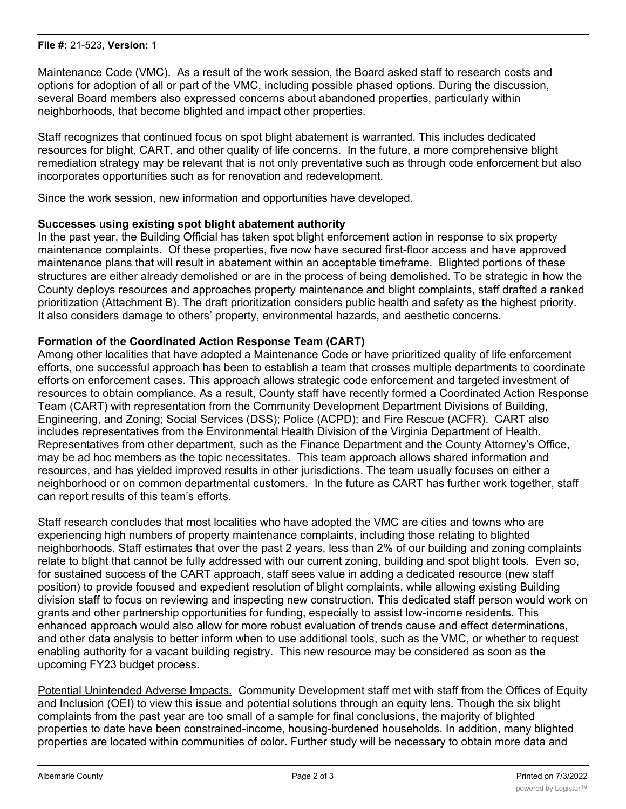Maintenance Code (VMC). As a result of the work session, the Board asked staff to research costs and options for adoption of all or part of the VMC, including possible phased options. During the discussion, several Board members also expressed concerns about abandoned properties, particularly within neighborhoods, that become blighted and impact other properties.

Staff recognizes that continued focus on spot blight abatement is warranted. This includes dedicated resources for blight, CART, and other quality of life concerns. In the future, a more comprehensive blight remediation strategy may be relevant that is not only preventative such as through code enforcement but also incorporates opportunities such as for renovation and redevelopment.

Since the work session, new information and opportunities have developed.

# **Successes using existing spot blight abatement authority**

In the past year, the Building Official has taken spot blight enforcement action in response to six property maintenance complaints. Of these properties, five now have secured first-floor access and have approved maintenance plans that will result in abatement within an acceptable timeframe. Blighted portions of these structures are either already demolished or are in the process of being demolished. To be strategic in how the County deploys resources and approaches property maintenance and blight complaints, staff drafted a ranked prioritization (Attachment B). The draft prioritization considers public health and safety as the highest priority. It also considers damage to others' property, environmental hazards, and aesthetic concerns.

# **Formation of the Coordinated Action Response Team (CART)**

Among other localities that have adopted a Maintenance Code or have prioritized quality of life enforcement efforts, one successful approach has been to establish a team that crosses multiple departments to coordinate efforts on enforcement cases. This approach allows strategic code enforcement and targeted investment of resources to obtain compliance. As a result, County staff have recently formed a Coordinated Action Response Team (CART) with representation from the Community Development Department Divisions of Building, Engineering, and Zoning; Social Services (DSS); Police (ACPD); and Fire Rescue (ACFR). CART also includes representatives from the Environmental Health Division of the Virginia Department of Health. Representatives from other department, such as the Finance Department and the County Attorney's Office, may be ad hoc members as the topic necessitates. This team approach allows shared information and resources, and has yielded improved results in other jurisdictions. The team usually focuses on either a neighborhood or on common departmental customers. In the future as CART has further work together, staff can report results of this team's efforts.

Staff research concludes that most localities who have adopted the VMC are cities and towns who are experiencing high numbers of property maintenance complaints, including those relating to blighted neighborhoods. Staff estimates that over the past 2 years, less than 2% of our building and zoning complaints relate to blight that cannot be fully addressed with our current zoning, building and spot blight tools. Even so, for sustained success of the CART approach, staff sees value in adding a dedicated resource (new staff position) to provide focused and expedient resolution of blight complaints, while allowing existing Building division staff to focus on reviewing and inspecting new construction. This dedicated staff person would work on grants and other partnership opportunities for funding, especially to assist low-income residents. This enhanced approach would also allow for more robust evaluation of trends cause and effect determinations, and other data analysis to better inform when to use additional tools, such as the VMC, or whether to request enabling authority for a vacant building registry. This new resource may be considered as soon as the upcoming FY23 budget process.

Potential Unintended Adverse Impacts. Community Development staff met with staff from the Offices of Equity and Inclusion (OEI) to view this issue and potential solutions through an equity lens. Though the six blight complaints from the past year are too small of a sample for final conclusions, the majority of blighted properties to date have been constrained-income, housing-burdened households. In addition, many blighted properties are located within communities of color. Further study will be necessary to obtain more data and